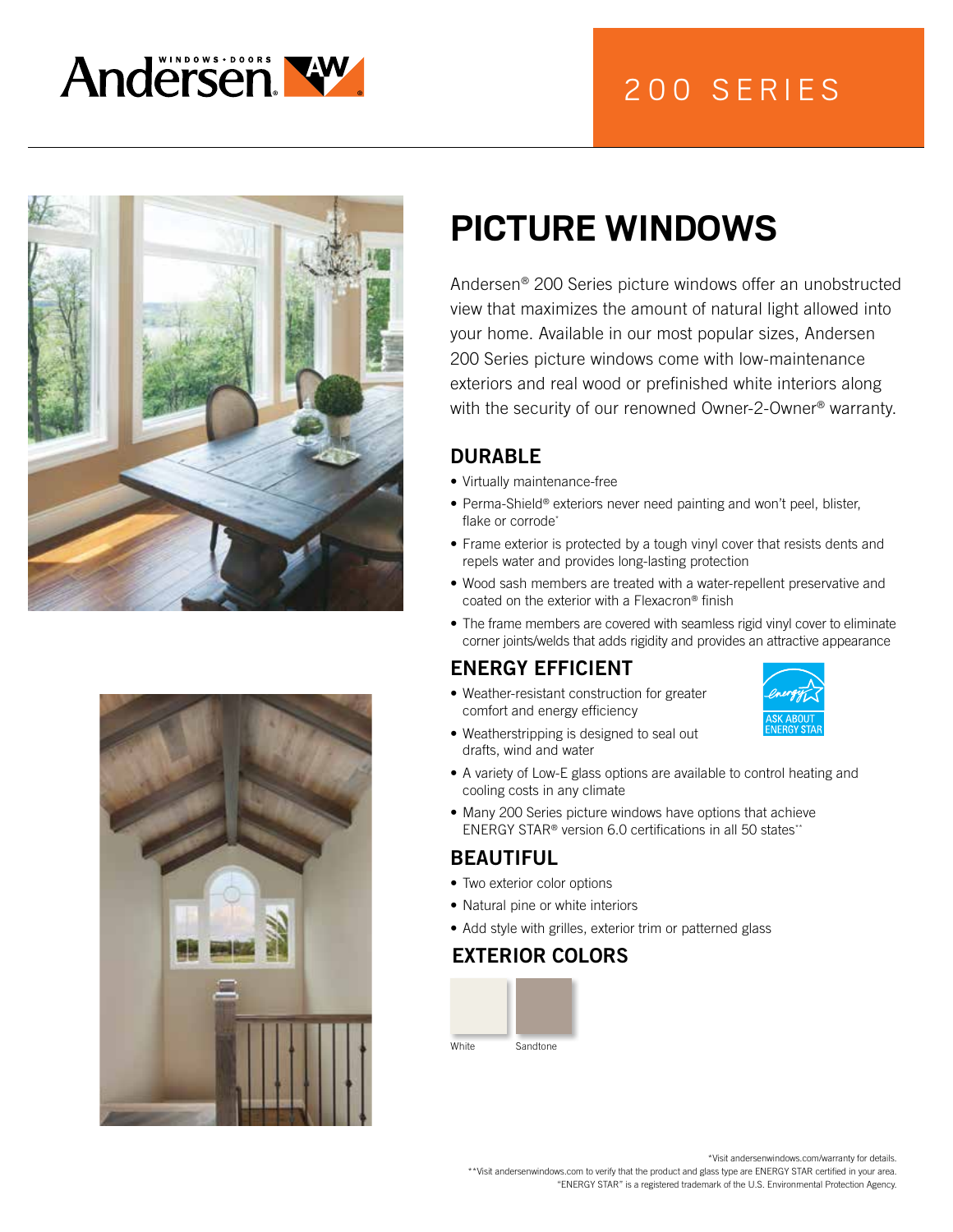

# 200 SERIES





# **PICTURE WINDOWS**

Andersen® 200 Series picture windows offer an unobstructed view that maximizes the amount of natural light allowed into your home. Available in our most popular sizes, Andersen 200 Series picture windows come with low-maintenance exteriors and real wood or prefinished white interiors along with the security of our renowned Owner-2-Owner<sup>®</sup> warranty.

## DURABLE

- Virtually maintenance-free
- Perma-Shield® exteriors never need painting and won't peel, blister, flake or corrode\*
- Frame exterior is protected by a tough vinyl cover that resists dents and repels water and provides long-lasting protection
- Wood sash members are treated with a water-repellent preservative and coated on the exterior with a Flexacron® finish
- The frame members are covered with seamless rigid vinyl cover to eliminate corner joints/welds that adds rigidity and provides an attractive appearance

## ENERGY EFFICIENT

• Weather-resistant construction for greater comfort and energy efficiency



- Weatherstripping is designed to seal out drafts, wind and water
- A variety of Low-E glass options are available to control heating and cooling costs in any climate
- Many 200 Series picture windows have options that achieve ENERGY STAR<sup>®</sup> version 6.0 certifications in all 50 states<sup>\*\*</sup>

#### BEAUTIFUL

- Two exterior color options
- Natural pine or white interiors
- Add style with grilles, exterior trim or patterned glass

#### EXTERIOR COLORS